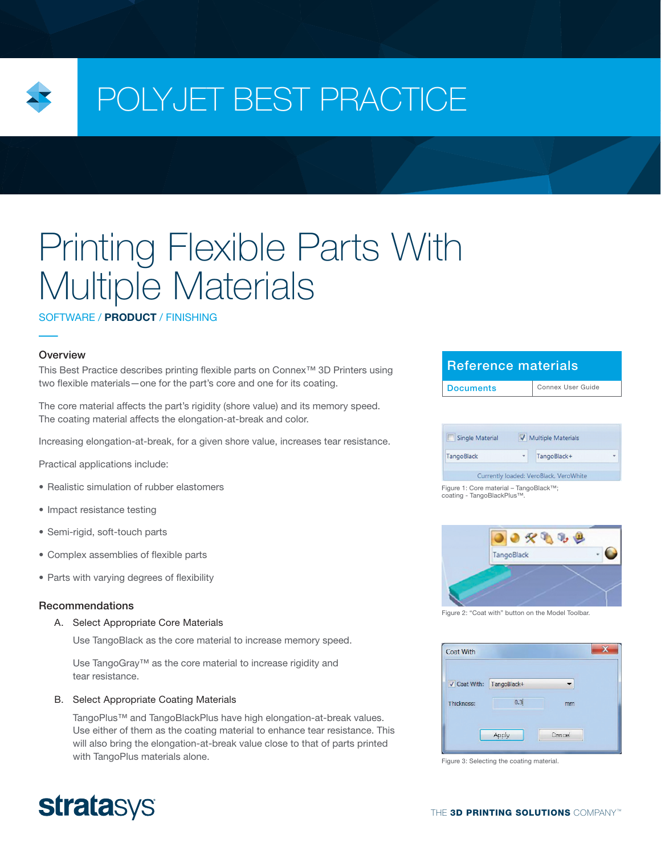

# POLYJET BEST PRACTICE

# Printing Flexible Parts With Multiple Materials

## SOFTWARE / PRODUCT / FINISHING

## **Overview**

This Best Practice describes printing flexible parts on Connex™ 3D Printers using two flexible materials—one for the part's core and one for its coating.

The core material affects the part's rigidity (shore value) and its memory speed. The coating material affects the elongation-at-break and color.

Increasing elongation-at-break, for a given shore value, increases tear resistance.

Practical applications include:

- Realistic simulation of rubber elastomers
- Impact resistance testing
- Semi-rigid, soft-touch parts
- Complex assemblies of flexible parts
- Parts with varying degrees of flexibility

## Recommendations

### A. Select Appropriate Core Materials

Use TangoBlack as the core material to increase memory speed.

Use TangoGray™ as the core material to increase rigidity and tear resistance.

## B. Select Appropriate Coating Materials

TangoPlus™ and TangoBlackPlus have high elongation-at-break values. Use either of them as the coating material to enhance tear resistance. This will also bring the elongation-at-break value close to that of parts printed with TangoPlus materials alone.

## Reference materials

| ÷ | TangoBlack+ | ٠ |
|---|-------------|---|
|   |             |   |

Figure 1: Core material – TangoBlack™; coating - TangoBlackPlus™.



Figure 2: "Coat with" button on the Model Toolbar.



Figure 3: Selecting the coating material.

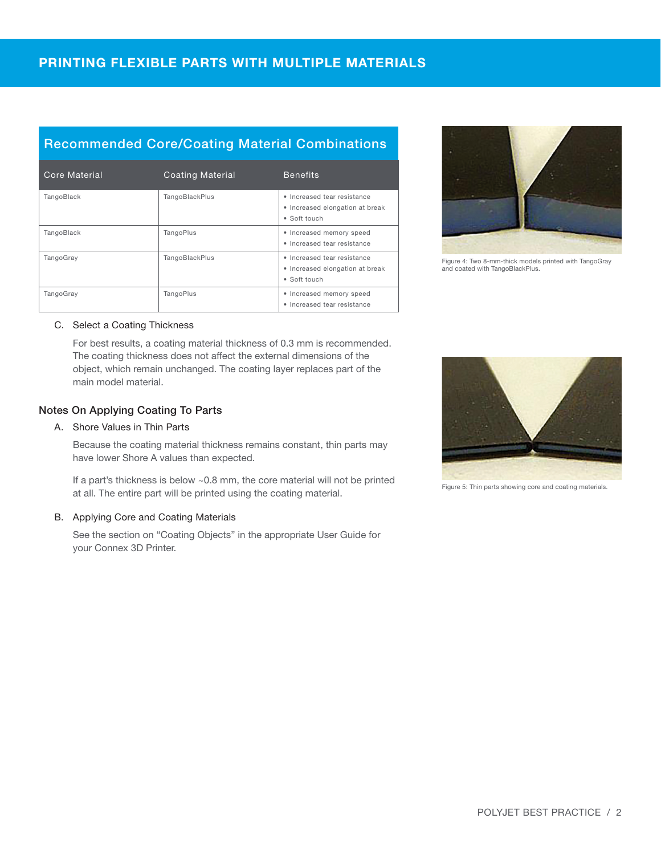# Recommended Core/Coating Material Combinations

| Core Material | <b>Coating Material</b> | <b>Benefits</b>                                                                |
|---------------|-------------------------|--------------------------------------------------------------------------------|
| TangoBlack    | TangoBlackPlus          | · Increased tear resistance<br>• Increased elongation at break<br>• Soft touch |
| TangoBlack    | <b>TangoPlus</b>        | • Increased memory speed<br>• Increased tear resistance                        |
| TangoGray     | TangoBlackPlus          | • Increased tear resistance<br>• Increased elongation at break<br>• Soft touch |
| TangoGray     | <b>TangoPlus</b>        | • Increased memory speed<br>• Increased tear resistance                        |



Figure 4: Two 8-mm-thick models printed with TangoGray and coated with TangoBlackPlus.

## C. Select a Coating Thickness

For best results, a coating material thickness of 0.3 mm is recommended. The coating thickness does not affect the external dimensions of the object, which remain unchanged. The coating layer replaces part of the main model material.

## Notes On Applying Coating To Parts

## A. Shore Values in Thin Parts

Because the coating material thickness remains constant, thin parts may have lower Shore A values than expected.

If a part's thickness is below ~0.8 mm, the core material will not be printed at all. The entire part will be printed using the coating material.

## B. Applying Core and Coating Materials

See the section on "Coating Objects" in the appropriate User Guide for your Connex 3D Printer.



Figure 5: Thin parts showing core and coating materials.